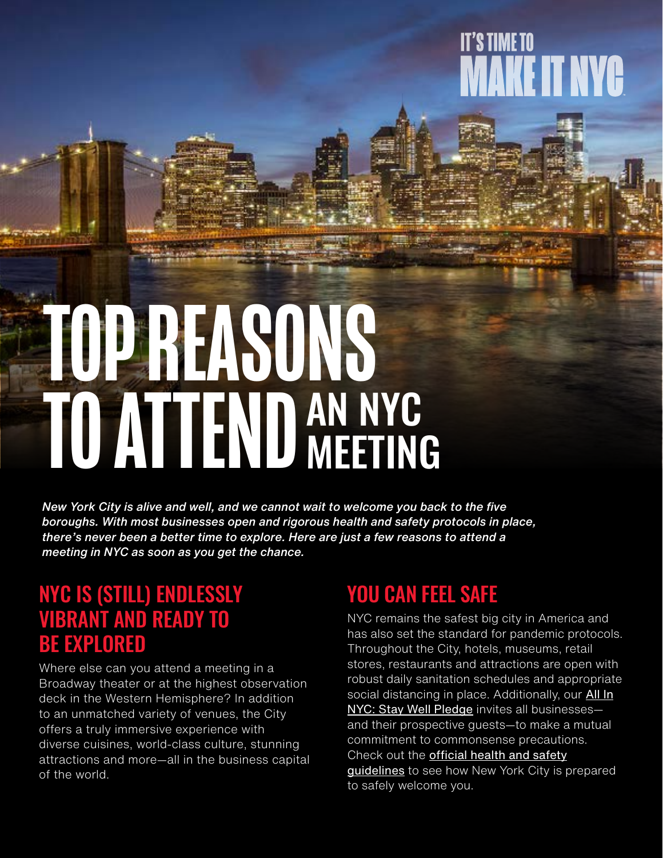## **IT'S TIME TO** KE IT NYC

# TOP REASONS TO ATTEND AN NYC MEETING

*New York City is alive and well, and we cannot wait to welcome you back to the five boroughs. With most businesses open and rigorous health and safety protocols in place, there's never been a better time to explore. Here are just a few reasons to attend a meeting in NYC as soon as you get the chance.* 

#### NYC IS (STILL) ENDLESSLY VIBRANT AND READY TO BE EXPLORED

Where else can you attend a meeting in a Broadway theater or at the highest observation deck in the Western Hemisphere? In addition to an unmatched variety of venues, the City offers a truly immersive experience with diverse cuisines, world-class culture, stunning attractions and more—all in the business capital of the world.

#### YOU CAN FEEL SAFE

NYC remains the safest big city in America and has also set the standard for pandemic protocols. Throughout the City, hotels, museums, retail stores, restaurants and attractions are open with robust daily sanitation schedules and appropriate social distancing in place. Additionally, our **[All In](https://www.nycgo.com/coronavirus-information-and-resources-for-travelers/stay-well-nyc-take-the-pledge)** [NYC: Stay Well Pledge](https://www.nycgo.com/coronavirus-information-and-resources-for-travelers/stay-well-nyc-take-the-pledge) invites all businesses and their prospective guests—to make a mutual commitment to commonsense precautions. Check out the **[official health and safety](https://www.nycgo.com/coronavirus-information-and-resources-for-travelers/stay-well-nyc-take-the-pledge)** [guidelines](https://www.nycgo.com/coronavirus-information-and-resources-for-travelers/stay-well-nyc-take-the-pledge) to see how New York City is prepared to safely welcome you.